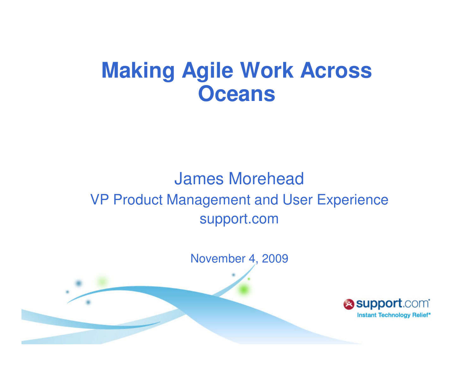# **Making Agile Work Across Oceans**

### James Morehead VP Product Management and User Experiencesupport.com

November 4, 2009

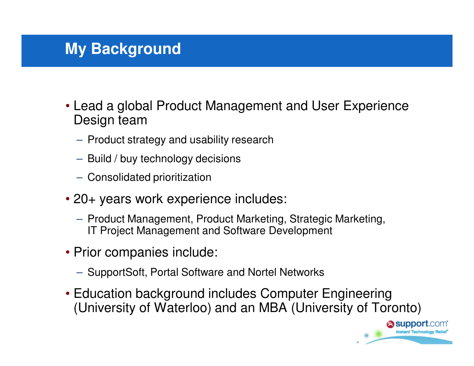### **My Background**

- Lead a global Product Management and User Experience Design team
	- Product strategy and usability research
	- Build / buy technology decisions
	- Consolidated prioritization
- 20+ years work experience includes:
	- Product Management, Product Marketing, Strategic Marketing, IT Project Management and Software Development
- Prior companies include:
	- SupportSoft, Portal Software and Nortel Networks
- Education background includes Computer Engineering (University of Waterloo) and an MBA (University of Toronto)

**esupport**.com **Instant Technology Reli**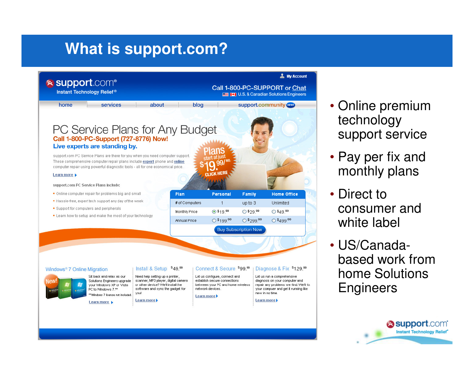## **What is support.com?**

11/4/2009

3



- Online premium technology support service
- Pay per fix and monthly plans
- Direct to consumer and white label
- US/Canadabased work from home Solutions **Engineers**

**Support.com Instant Technology Relief\***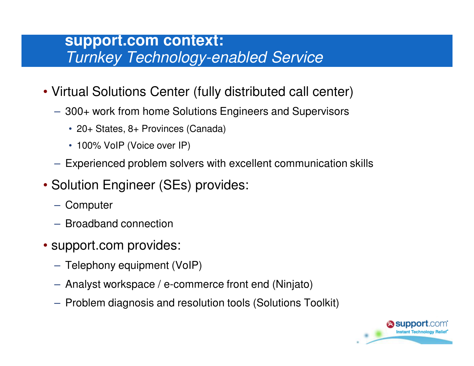#### **support.com context:**Turnkey Technology-enabled Service

- Virtual Solutions Center (fully distributed call center)
	- 300+ work from home Solutions Engineers and Supervisors
		- 20+ States, 8+ Provinces (Canada)
		- 100% VoIP (Voice over IP)
	- Experienced problem solvers with excellent communication skills
- Solution Engineer (SEs) provides:
	- Computer
	- Broadband connection
- support.com provides:
	- Telephony equipment (VoIP)
	- Analyst workspace / e-commerce front end (Ninjato)
	- Problem diagnosis and resolution tools (Solutions Toolkit)

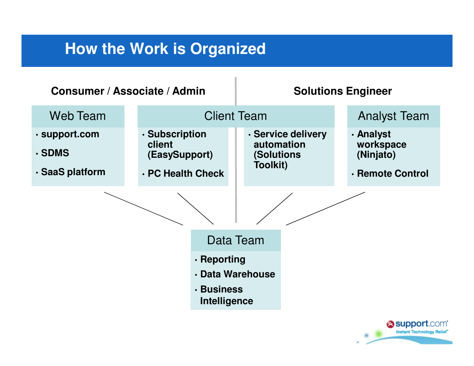### **How the Work is Organized**

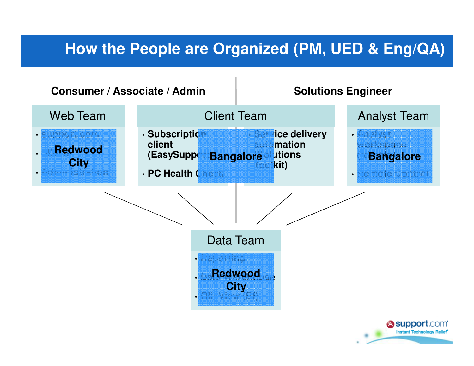### **How the People are Organized (PM, UED & Eng/QA)**

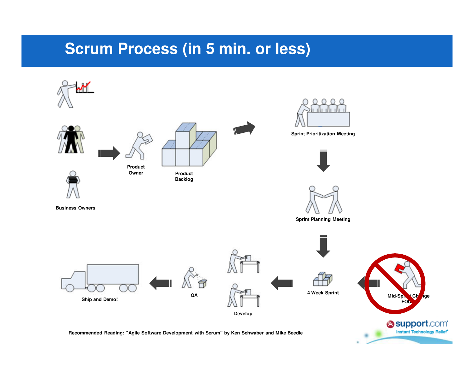#### **Scrum Process (in 5 min. or less)**



**Recommended Reading: "Agile Software Development with Scrum" by Ken Schwaber and Mike Beedle**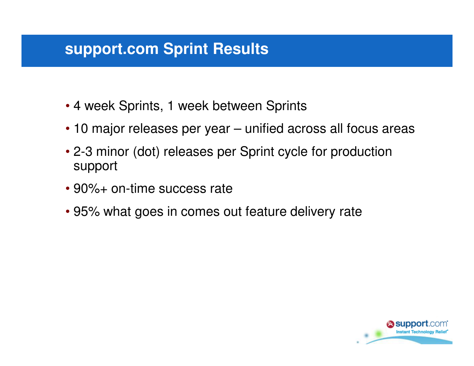#### **support.com Sprint Results**

- 4 week Sprints, 1 week between Sprints
- 10 major releases per year unified across all focus areas
- 2-3 minor (dot) releases per Sprint cycle for productionsupport
- 90%+ on-time success rate
- 95% what goes in comes out feature delivery rate

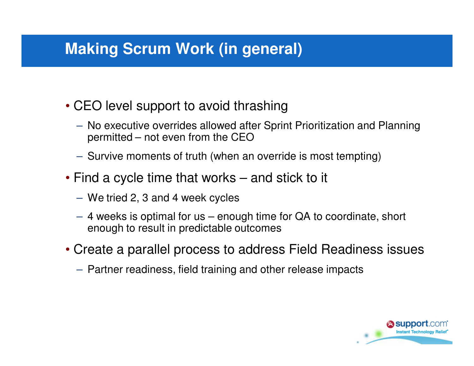### **Making Scrum Work (in general)**

- CEO level support to avoid thrashing
	- No executive overrides allowed after Sprint Prioritization and Planning permitted – not even from the CEO
	- Survive moments of truth (when an override is most tempting)
- Find a cycle time that works and stick to it
	- We tried 2, 3 and 4 week cycles
	- 4 weeks is optimal for us enough time for QA to coordinate, short enough to result in predictable outcomes
- Create a parallel process to address Field Readiness issues
	- Partner readiness, field training and other release impacts

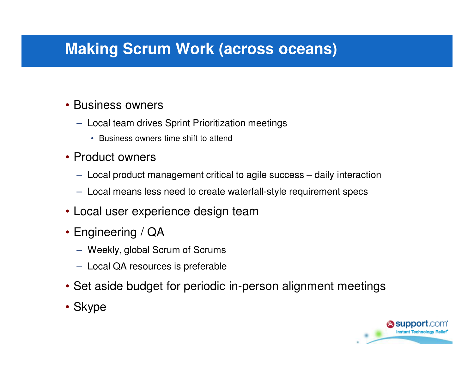### **Making Scrum Work (across oceans)**

#### • Business owners

- Local team drives Sprint Prioritization meetings
	- Business owners time shift to attend
- Product owners
	- $-$  Local product management critical to agile success  $-$  daily interaction
	- Local means less need to create waterfall-style requirement specs
- Local user experience design team
- Engineering / QA
	- Weekly, global Scrum of Scrums
	- Local QA resources is preferable
- Set aside budget for periodic in-person alignment meetings
- Skype

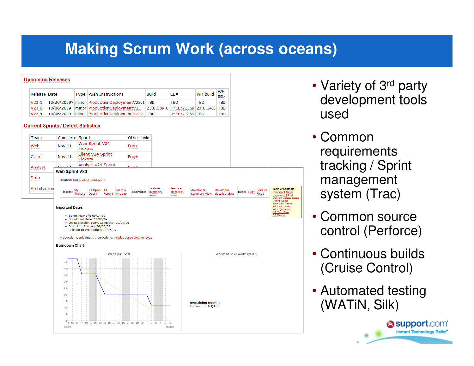### **Making Scrum Work (across oceans)**



- Variety of 3<sup>rd</sup> party development tools used
- Common requirements tracking / Sprint management system (Trac)
- Common source control (Perforce)
- Continuous builds (Cruise Control)
- Automated testing (WATiN, Silk)

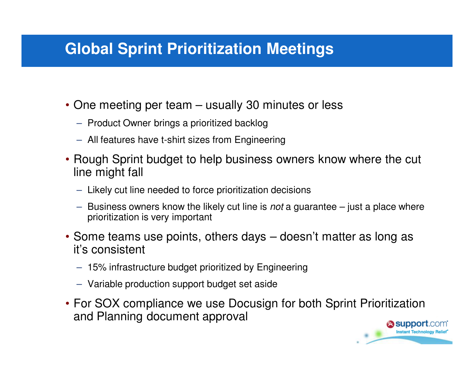### **Global Sprint Prioritization Meetings**

- One meeting per team usually 30 minutes or less
	- Product Owner brings a prioritized backlog
	- All features have t-shirt sizes from Engineering
- Rough Sprint budget to help business owners know where the cut line might fall
	- Likely cut line needed to force prioritization decisions
	- Business owners know the likely cut line is *not* a guarantee just a place where prioritization is very important
- Some teams use points, others days doesn't matter as long as it's consistent
	- 15% infrastructure budget prioritized by Engineering
	- Variable production support budget set aside
- For SOX compliance we use Docusign for both Sprint Prioritization and Planning document approval